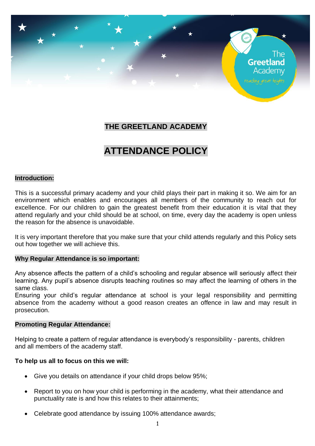

# **THE GREETLAND ACADEMY**

# **ATTENDANCE POLICY**

#### **Introduction:**

This is a successful primary academy and your child plays their part in making it so. We aim for an environment which enables and encourages all members of the community to reach out for excellence. For our children to gain the greatest benefit from their education it is vital that they attend regularly and your child should be at school, on time, every day the academy is open unless the reason for the absence is unavoidable.

It is very important therefore that you make sure that your child attends regularly and this Policy sets out how together we will achieve this.

#### **Why Regular Attendance is so important:**

Any absence affects the pattern of a child's schooling and regular absence will seriously affect their learning. Any pupil's absence disrupts teaching routines so may affect the learning of others in the same class.

Ensuring your child's regular attendance at school is your legal responsibility and permitting absence from the academy without a good reason creates an offence in law and may result in prosecution.

#### **Promoting Regular Attendance:**

Helping to create a pattern of regular attendance is everybody's responsibility - parents, children and all members of the academy staff.

#### **To help us all to focus on this we will:**

- Give you details on attendance if your child drops below 95%;
- Report to you on how your child is performing in the academy, what their attendance and punctuality rate is and how this relates to their attainments;
- Celebrate good attendance by issuing 100% attendance awards;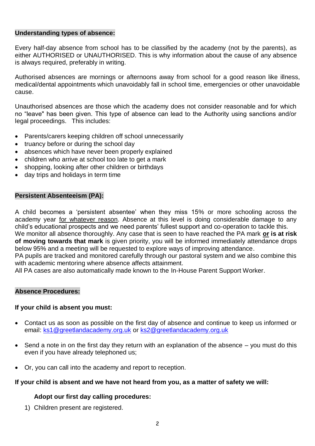#### **Understanding types of absence:**

Every half-day absence from school has to be classified by the academy (not by the parents), as either AUTHORISED or UNAUTHORISED. This is why information about the cause of any absence is always required, preferably in writing.

Authorised absences are mornings or afternoons away from school for a good reason like illness, medical/dental appointments which unavoidably fall in school time, emergencies or other unavoidable cause.

Unauthorised absences are those which the academy does not consider reasonable and for which no "leave" has been given. This type of absence can lead to the Authority using sanctions and/or legal proceedings. This includes:

- Parents/carers keeping children off school unnecessarily
- truancy before or during the school day
- absences which have never been properly explained
- children who arrive at school too late to get a mark
- shopping, looking after other children or birthdays
- day trips and holidays in term time

# **Persistent Absenteeism (PA):**

A child becomes a 'persistent absentee' when they miss 15% or more schooling across the academy year for whatever reason. Absence at this level is doing considerable damage to any child's educational prospects and we need parents' fullest support and co-operation to tackle this.

We monitor all absence thoroughly. Any case that is seen to have reached the PA mark **or is at risk of moving towards that mark** is given priority, you will be informed immediately attendance drops below 95% and a meeting will be requested to explore ways of improving attendance.

PA pupils are tracked and monitored carefully through our pastoral system and we also combine this with academic mentoring where absence affects attainment.

All PA cases are also automatically made known to the In-House Parent Support Worker.

# **Absence Procedures:**

# **If your child is absent you must:**

- Contact us as soon as possible on the first day of absence and continue to keep us informed or email: [ks1@greetlandacademy.org.uk](mailto:ks1@greetlandacademy.org.uk) or [ks2@greetlandacademy.org.uk](mailto:ks2@greetlandacademy.org.uk)
- Send a note in on the first day they return with an explanation of the absence you must do this even if you have already telephoned us;
- Or, you can call into the academy and report to reception.

# **If your child is absent and we have not heard from you, as a matter of safety we will:**

# **Adopt our first day calling procedures:**

1) Children present are registered.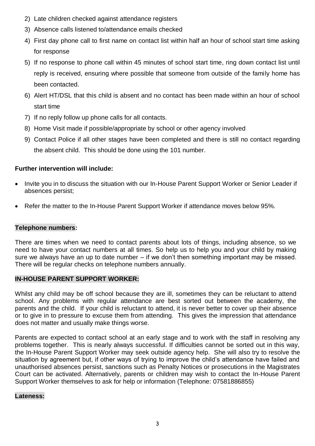- 2) Late children checked against attendance registers
- 3) Absence calls listened to/attendance emails checked
- 4) First day phone call to first name on contact list within half an hour of school start time asking for response
- 5) If no response to phone call within 45 minutes of school start time, ring down contact list until reply is received, ensuring where possible that someone from outside of the family home has been contacted.
- 6) Alert HT/DSL that this child is absent and no contact has been made within an hour of school start time
- 7) If no reply follow up phone calls for all contacts.
- 8) Home Visit made if possible/appropriate by school or other agency involved
- 9) Contact Police if all other stages have been completed and there is still no contact regarding the absent child. This should be done using the 101 number.

# **Further intervention will include:**

- Invite you in to discuss the situation with our In-House Parent Support Worker or Senior Leader if absences persist;
- Refer the matter to the In-House Parent Support Worker if attendance moves below 95%.

# **Telephone numbers:**

There are times when we need to contact parents about lots of things, including absence, so we need to have your contact numbers at all times. So help us to help you and your child by making sure we always have an up to date number – if we don't then something important may be missed. There will be regular checks on telephone numbers annually.

# **IN-HOUSE PARENT SUPPORT WORKER:**

Whilst any child may be off school because they are ill, sometimes they can be reluctant to attend school. Any problems with regular attendance are best sorted out between the academy, the parents and the child. If your child is reluctant to attend, it is never better to cover up their absence or to give in to pressure to excuse them from attending. This gives the impression that attendance does not matter and usually make things worse.

Parents are expected to contact school at an early stage and to work with the staff in resolving any problems together. This is nearly always successful. If difficulties cannot be sorted out in this way, the In-House Parent Support Worker may seek outside agency help. She will also try to resolve the situation by agreement but, if other ways of trying to improve the child's attendance have failed and unauthorised absences persist, sanctions such as Penalty Notices or prosecutions in the Magistrates Court can be activated. Alternatively, parents or children may wish to contact the In-House Parent Support Worker themselves to ask for help or information (Telephone: 07581886855)

# **Lateness:**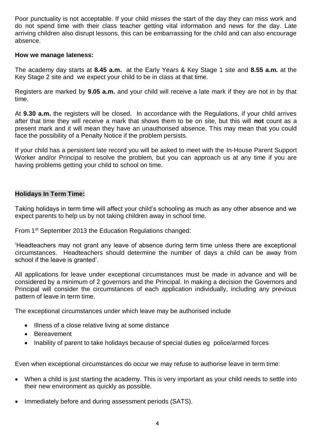Poor punctuality is not acceptable. If your child misses the start of the day they can miss work and do not spend time with their class teacher getting vital information and news for the day. Late arriving children also disrupt lessons, this can be embarrassing for the child and can also encourage absence.

#### **How we manage lateness:**

The academy day starts at **8.45 a.m.** at the Early Years & Key Stage 1 site and **8.55 a.m.** at the Key Stage 2 site and we expect your child to be in class at that time.

Registers are marked by **9.05 a.m.** and your child will receive a late mark if they are not in by that time.

At **9.30 a.m.** the registers will be closed. In accordance with the Regulations, if your child arrives after that time they will receive a mark that shows them to be on site, but this will **not** count as a present mark and it will mean they have an unauthorised absence. This may mean that you could face the possibility of a Penalty Notice if the problem persists.

If your child has a persistent late record you will be asked to meet with the In-House Parent Support Worker and/or Principal to resolve the problem, but you can approach us at any time if you are having problems getting your child to school on time.

# **Holidays In Term Time:**

Taking holidays in term time will affect your child's schooling as much as any other absence and we expect parents to help us by not taking children away in school time.

From 1st September 2013 the Education Regulations changed:

'Headteachers may not grant any leave of absence during term time unless there are exceptional circumstances. Headteachers should determine the number of days a child can be away from school if the leave is granted'.

All applications for leave under exceptional circumstances must be made in advance and will be considered by a minimum of 2 governors and the Principal. In making a decision the Governors and Principal will consider the circumstances of each application individually, including any previous pattern of leave in term time.

The exceptional circumstances under which leave may be authorised include

- Illness of a close relative living at some distance
- Bereavement
- Inability of parent to take holidays because of special duties eg police/armed forces

Even when exceptional circumstances do occur we may refuse to authorise leave in term time:

- When a child is just starting the academy. This is very important as your child needs to settle into their new environment as quickly as possible.
- Immediately before and during assessment periods (SATS).